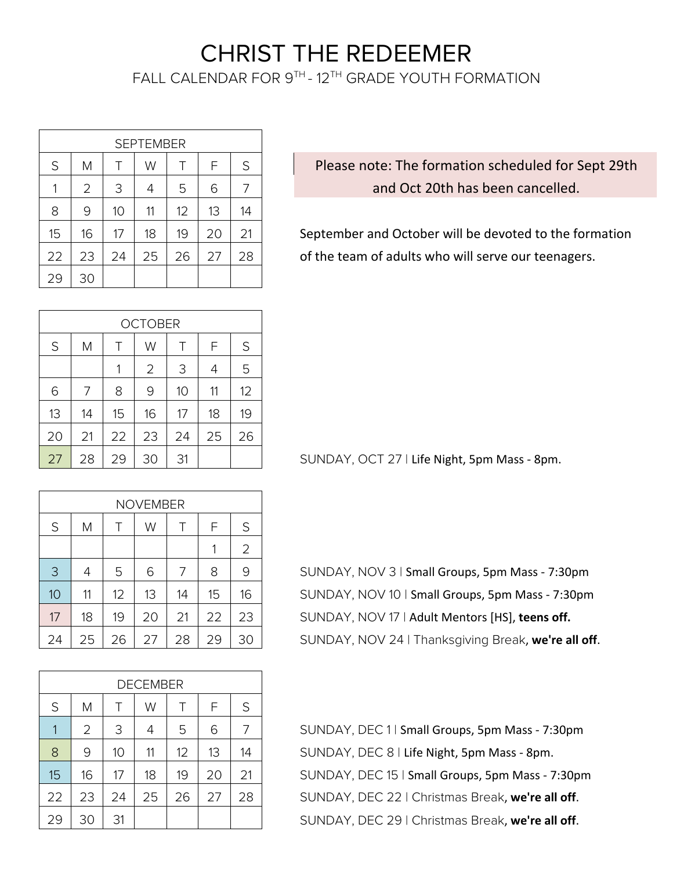## CHRIST THE REDEEMER

FALL CALENDAR FOR 9TH - 12TH GRADE YOUTH FORMATION

| <b>SEPTEMBER</b> |                                 |    |    |    |    |    |  |
|------------------|---------------------------------|----|----|----|----|----|--|
| S                | F<br>S<br>M<br>T<br>W<br>$\top$ |    |    |    |    |    |  |
| 1                | $\overline{2}$                  | 3  | 4  | 5  | 6  | 7  |  |
| 8                | 9                               | 10 | 11 | 12 | 13 | 14 |  |
| 15               | 16                              | 17 | 18 | 19 | 20 | 21 |  |
| 22               | 23                              | 24 | 25 | 26 | 27 | 28 |  |
| 29               | 30                              |    |    |    |    |    |  |

Please note: The formation scheduled for Sept 29th and Oct 20th has been cancelled.

September and October will be devoted to the formation of the team of adults who will serve our teenagers.

|    | <b>OCTOBER</b>             |    |                |    |    |    |  |  |
|----|----------------------------|----|----------------|----|----|----|--|--|
| S  | $\top$<br>F<br>Μ<br>W<br>Τ |    |                |    |    |    |  |  |
|    |                            | 1  | $\overline{2}$ | 3  | 4  | 5  |  |  |
| 6  | 7                          | 8  | 9              | 10 | 11 | 12 |  |  |
| 13 | 14                         | 15 | 16             | 17 | 18 | 19 |  |  |
| 20 | 21                         | 22 | 23             | 24 | 25 | 26 |  |  |
| 27 | 28                         | 29 | 30             | 31 |    |    |  |  |

SUNDAY, OCT 27 | Life Night, 5pm Mass - 8pm.

| <b>NOVEMBER</b> |    |    |    |    |    |                |  |
|-----------------|----|----|----|----|----|----------------|--|
| S               | M  | Τ  | W  | Τ  | F  | S              |  |
|                 |    |    |    |    | 1  | $\overline{2}$ |  |
| 3               | 4  | 5  | 6  | 7  | 8  | 9              |  |
| 10              | 11 | 12 | 13 | 14 | 15 | 16             |  |
| 17              | 18 | 19 | 20 | 21 | 22 | 23             |  |
| 24              | 25 | 26 | 27 | 28 | 29 | 30             |  |

SUNDAY, NOV 3 | Small Groups, 5pm Mass - 7:30pm SUNDAY, NOV 10 | Small Groups, 5pm Mass - 7:30pm SUNDAY, NOV 17 | Adult Mentors [HS], teens off. SUNDAY, NOV 24 | Thanksgiving Break, we're all off.

| <b>DECEMBER</b> |                                 |    |    |    |    |    |  |  |
|-----------------|---------------------------------|----|----|----|----|----|--|--|
| S               | F<br>S<br>M<br>$\top$<br>Τ<br>W |    |    |    |    |    |  |  |
| 1               | $\overline{2}$                  | 3  | 4  | 5  | 6  | 7  |  |  |
| 8               | 9                               | 10 | 11 | 12 | 13 | 14 |  |  |
| 15              | 16                              | 17 | 18 | 19 | 20 | 21 |  |  |
| 22              | 23                              | 24 | 25 | 26 | 27 | 28 |  |  |
| 29              | 30                              | 31 |    |    |    |    |  |  |

SUNDAY, DEC 1 | Small Groups, 5pm Mass - 7:30pm SUNDAY, DEC 8 | Life Night, 5pm Mass - 8pm. SUNDAY, DEC 15 | Small Groups, 5pm Mass - 7:30pm SUNDAY, DEC 22 | Christmas Break, we're all off. SUNDAY, DEC 29 | Christmas Break, we're all off.